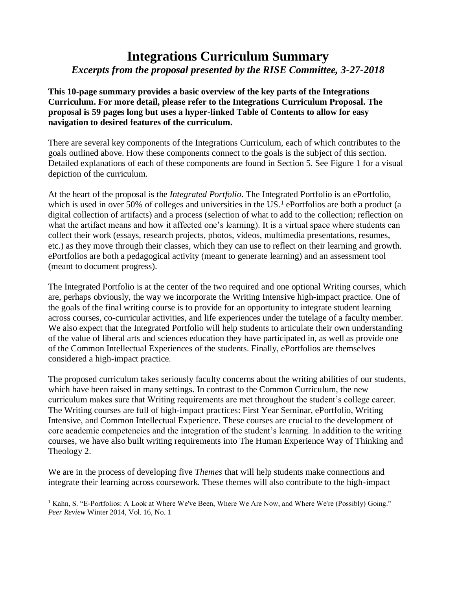# **Integrations Curriculum Summary** *Excerpts from the proposal presented by the RISE Committee, 3-27-2018*

**This 10-page summary provides a basic overview of the key parts of the Integrations Curriculum. For more detail, please refer to the Integrations Curriculum Proposal. The proposal is 59 pages long but uses a hyper-linked Table of Contents to allow for easy navigation to desired features of the curriculum.**

There are several key components of the Integrations Curriculum, each of which contributes to the goals outlined above. How these components connect to the goals is the subject of this section. Detailed explanations of each of these components are found in Section 5. See Figure 1 for a visual depiction of the curriculum.

At the heart of the proposal is the *Integrated Portfolio*. The Integrated Portfolio is an ePortfolio, which is used in over 50% of colleges and universities in the US. $<sup>1</sup>$  ePortfolios are both a product (a</sup> digital collection of artifacts) and a process (selection of what to add to the collection; reflection on what the artifact means and how it affected one's learning). It is a virtual space where students can collect their work (essays, research projects, photos, videos, multimedia presentations, resumes, etc.) as they move through their classes, which they can use to reflect on their learning and growth. ePortfolios are both a pedagogical activity (meant to generate learning) and an assessment tool (meant to document progress).

The Integrated Portfolio is at the center of the two required and one optional Writing courses, which are, perhaps obviously, the way we incorporate the Writing Intensive high-impact practice. One of the goals of the final writing course is to provide for an opportunity to integrate student learning across courses, co-curricular activities, and life experiences under the tutelage of a faculty member. We also expect that the Integrated Portfolio will help students to articulate their own understanding of the value of liberal arts and sciences education they have participated in, as well as provide one of the Common Intellectual Experiences of the students. Finally, ePortfolios are themselves considered a high-impact practice.

The proposed curriculum takes seriously faculty concerns about the writing abilities of our students, which have been raised in many settings. In contrast to the Common Curriculum, the new curriculum makes sure that Writing requirements are met throughout the student's college career. The Writing courses are full of high-impact practices: First Year Seminar, ePortfolio, Writing Intensive, and Common Intellectual Experience. These courses are crucial to the development of core academic competencies and the integration of the student's learning. In addition to the writing courses, we have also built writing requirements into The Human Experience Way of Thinking and Theology 2.

We are in the process of developing five *Themes* that will help students make connections and integrate their learning across coursework. These themes will also contribute to the high-impact

 $\overline{a}$ 

<sup>&</sup>lt;sup>1</sup> Kahn, S. "E-Portfolios: A Look at Where We've Been, Where We Are Now, and Where We're (Possibly) Going." *Peer Review* Winter 2014, Vol. 16, No. 1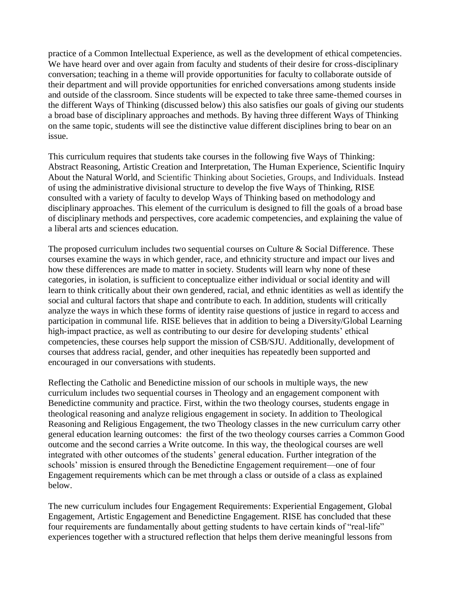practice of a Common Intellectual Experience, as well as the development of ethical competencies. We have heard over and over again from faculty and students of their desire for cross-disciplinary conversation; teaching in a theme will provide opportunities for faculty to collaborate outside of their department and will provide opportunities for enriched conversations among students inside and outside of the classroom. Since students will be expected to take three same-themed courses in the different Ways of Thinking (discussed below) this also satisfies our goals of giving our students a broad base of disciplinary approaches and methods. By having three different Ways of Thinking on the same topic, students will see the distinctive value different disciplines bring to bear on an issue.

This curriculum requires that students take courses in the following five Ways of Thinking: Abstract Reasoning, Artistic Creation and Interpretation, The Human Experience, Scientific Inquiry About the Natural World, and Scientific Thinking about Societies, Groups, and Individuals. Instead of using the administrative divisional structure to develop the five Ways of Thinking, RISE consulted with a variety of faculty to develop Ways of Thinking based on methodology and disciplinary approaches. This element of the curriculum is designed to fill the goals of a broad base of disciplinary methods and perspectives, core academic competencies, and explaining the value of a liberal arts and sciences education.

The proposed curriculum includes two sequential courses on Culture & Social Difference. These courses examine the ways in which gender, race, and ethnicity structure and impact our lives and how these differences are made to matter in society. Students will learn why none of these categories, in isolation, is sufficient to conceptualize either individual or social identity and will learn to think critically about their own gendered, racial, and ethnic identities as well as identify the social and cultural factors that shape and contribute to each. In addition, students will critically analyze the ways in which these forms of identity raise questions of justice in regard to access and participation in communal life. RISE believes that in addition to being a Diversity/Global Learning high-impact practice, as well as contributing to our desire for developing students' ethical competencies, these courses help support the mission of CSB/SJU. Additionally, development of courses that address racial, gender, and other inequities has repeatedly been supported and encouraged in our conversations with students.

Reflecting the Catholic and Benedictine mission of our schools in multiple ways, the new curriculum includes two sequential courses in Theology and an engagement component with Benedictine community and practice. First, within the two theology courses, students engage in theological reasoning and analyze religious engagement in society. In addition to Theological Reasoning and Religious Engagement, the two Theology classes in the new curriculum carry other general education learning outcomes: the first of the two theology courses carries a Common Good outcome and the second carries a Write outcome. In this way, the theological courses are well integrated with other outcomes of the students' general education. Further integration of the schools' mission is ensured through the Benedictine Engagement requirement—one of four Engagement requirements which can be met through a class or outside of a class as explained below.

The new curriculum includes four Engagement Requirements: Experiential Engagement, Global Engagement, Artistic Engagement and Benedictine Engagement. RISE has concluded that these four requirements are fundamentally about getting students to have certain kinds of "real-life" experiences together with a structured reflection that helps them derive meaningful lessons from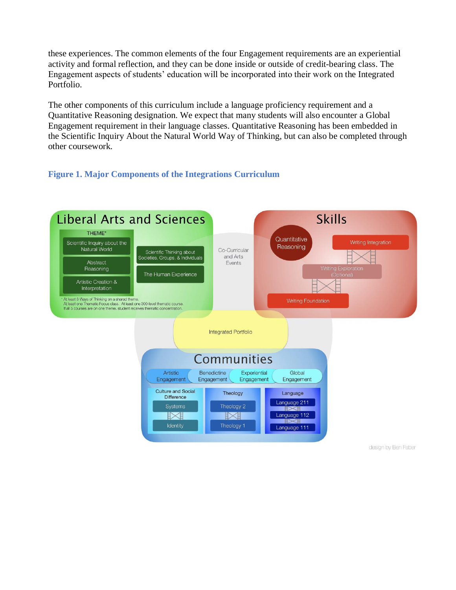these experiences. The common elements of the four Engagement requirements are an experiential activity and formal reflection, and they can be done inside or outside of credit-bearing class. The Engagement aspects of students' education will be incorporated into their work on the Integrated Portfolio.

The other components of this curriculum include a language proficiency requirement and a Quantitative Reasoning designation. We expect that many students will also encounter a Global Engagement requirement in their language classes. Quantitative Reasoning has been embedded in the Scientific Inquiry About the Natural World Way of Thinking, but can also be completed through other coursework.

## **Figure 1. Major Components of the Integrations Curriculum**



design by Ben Faber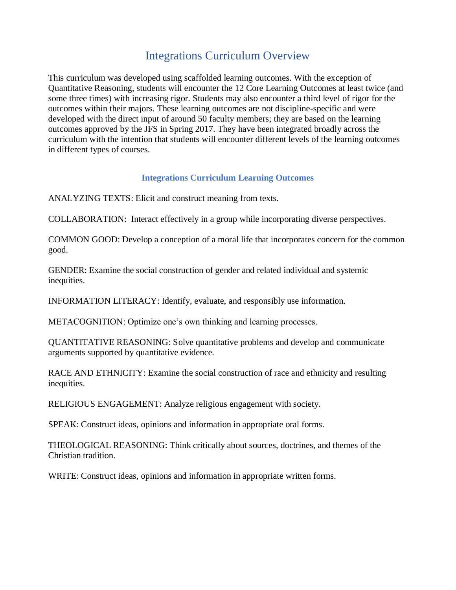# Integrations Curriculum Overview

This curriculum was developed using scaffolded learning outcomes. With the exception of Quantitative Reasoning, students will encounter the 12 Core Learning Outcomes at least twice (and some three times) with increasing rigor. Students may also encounter a third level of rigor for the outcomes within their majors. These learning outcomes are not discipline-specific and were developed with the direct input of around 50 faculty members; they are based on the learning outcomes approved by the JFS in Spring 2017. They have been integrated broadly across the curriculum with the intention that students will encounter different levels of the learning outcomes in different types of courses.

#### **Integrations Curriculum Learning Outcomes**

ANALYZING TEXTS: Elicit and construct meaning from texts.

COLLABORATION: Interact effectively in a group while incorporating diverse perspectives.

COMMON GOOD: Develop a conception of a moral life that incorporates concern for the common good.

GENDER: Examine the social construction of gender and related individual and systemic inequities.

INFORMATION LITERACY: Identify, evaluate, and responsibly use information.

METACOGNITION: Optimize one's own thinking and learning processes.

QUANTITATIVE REASONING: Solve quantitative problems and develop and communicate arguments supported by quantitative evidence.

RACE AND ETHNICITY: Examine the social construction of race and ethnicity and resulting inequities.

RELIGIOUS ENGAGEMENT: Analyze religious engagement with society.

SPEAK: Construct ideas, opinions and information in appropriate oral forms.

THEOLOGICAL REASONING: Think critically about sources, doctrines, and themes of the Christian tradition.

WRITE: Construct ideas, opinions and information in appropriate written forms.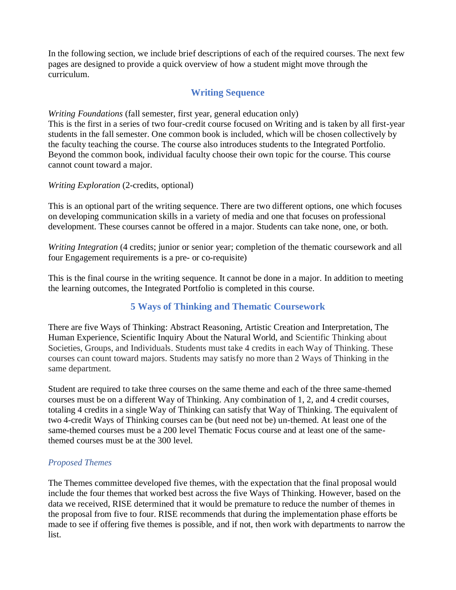In the following section, we include brief descriptions of each of the required courses. The next few pages are designed to provide a quick overview of how a student might move through the curriculum.

# **Writing Sequence**

*Writing Foundations* (fall semester, first year, general education only)

This is the first in a series of two four-credit course focused on Writing and is taken by all first-year students in the fall semester. One common book is included, which will be chosen collectively by the faculty teaching the course. The course also introduces students to the Integrated Portfolio. Beyond the common book, individual faculty choose their own topic for the course. This course cannot count toward a major.

#### *Writing Exploration* (2-credits, optional)

This is an optional part of the writing sequence. There are two different options, one which focuses on developing communication skills in a variety of media and one that focuses on professional development. These courses cannot be offered in a major. Students can take none, one, or both.

*Writing Integration* (4 credits; junior or senior year; completion of the thematic coursework and all four Engagement requirements is a pre- or co-requisite)

This is the final course in the writing sequence. It cannot be done in a major. In addition to meeting the learning outcomes, the Integrated Portfolio is completed in this course.

## **5 Ways of Thinking and Thematic Coursework**

There are five Ways of Thinking: Abstract Reasoning, Artistic Creation and Interpretation, The Human Experience, Scientific Inquiry About the Natural World, and Scientific Thinking about Societies, Groups, and Individuals. Students must take 4 credits in each Way of Thinking. These courses can count toward majors. Students may satisfy no more than 2 Ways of Thinking in the same department.

Student are required to take three courses on the same theme and each of the three same-themed courses must be on a different Way of Thinking. Any combination of 1, 2, and 4 credit courses, totaling 4 credits in a single Way of Thinking can satisfy that Way of Thinking. The equivalent of two 4-credit Ways of Thinking courses can be (but need not be) un-themed. At least one of the same-themed courses must be a 200 level Thematic Focus course and at least one of the samethemed courses must be at the 300 level.

#### *Proposed Themes*

The Themes committee developed five themes, with the expectation that the final proposal would include the four themes that worked best across the five Ways of Thinking. However, based on the data we received, RISE determined that it would be premature to reduce the number of themes in the proposal from five to four. RISE recommends that during the implementation phase efforts be made to see if offering five themes is possible, and if not, then work with departments to narrow the list.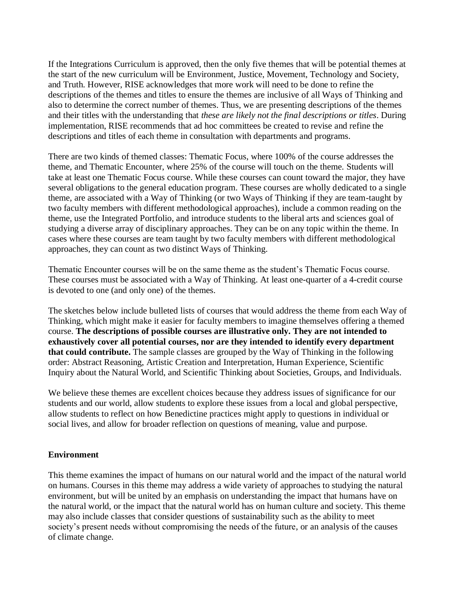If the Integrations Curriculum is approved, then the only five themes that will be potential themes at the start of the new curriculum will be Environment, Justice, Movement, Technology and Society, and Truth. However, RISE acknowledges that more work will need to be done to refine the descriptions of the themes and titles to ensure the themes are inclusive of all Ways of Thinking and also to determine the correct number of themes. Thus, we are presenting descriptions of the themes and their titles with the understanding that *these are likely not the final descriptions or titles*. During implementation, RISE recommends that ad hoc committees be created to revise and refine the descriptions and titles of each theme in consultation with departments and programs.

There are two kinds of themed classes: Thematic Focus, where 100% of the course addresses the theme, and Thematic Encounter, where 25% of the course will touch on the theme. Students will take at least one Thematic Focus course. While these courses can count toward the major, they have several obligations to the general education program. These courses are wholly dedicated to a single theme, are associated with a Way of Thinking (or two Ways of Thinking if they are team-taught by two faculty members with different methodological approaches), include a common reading on the theme, use the Integrated Portfolio, and introduce students to the liberal arts and sciences goal of studying a diverse array of disciplinary approaches. They can be on any topic within the theme. In cases where these courses are team taught by two faculty members with different methodological approaches, they can count as two distinct Ways of Thinking.

Thematic Encounter courses will be on the same theme as the student's Thematic Focus course. These courses must be associated with a Way of Thinking. At least one-quarter of a 4-credit course is devoted to one (and only one) of the themes.

The sketches below include bulleted lists of courses that would address the theme from each Way of Thinking, which might make it easier for faculty members to imagine themselves offering a themed course. **The descriptions of possible courses are illustrative only. They are not intended to exhaustively cover all potential courses, nor are they intended to identify every department that could contribute.** The sample classes are grouped by the Way of Thinking in the following order: Abstract Reasoning, Artistic Creation and Interpretation, Human Experience, Scientific Inquiry about the Natural World, and Scientific Thinking about Societies, Groups, and Individuals.

We believe these themes are excellent choices because they address issues of significance for our students and our world, allow students to explore these issues from a local and global perspective, allow students to reflect on how Benedictine practices might apply to questions in individual or social lives, and allow for broader reflection on questions of meaning, value and purpose.

#### **Environment**

This theme examines the impact of humans on our natural world and the impact of the natural world on humans. Courses in this theme may address a wide variety of approaches to studying the natural environment, but will be united by an emphasis on understanding the impact that humans have on the natural world, or the impact that the natural world has on human culture and society. This theme may also include classes that consider questions of sustainability such as the ability to meet society's present needs without compromising the needs of the future, or an analysis of the causes of climate change.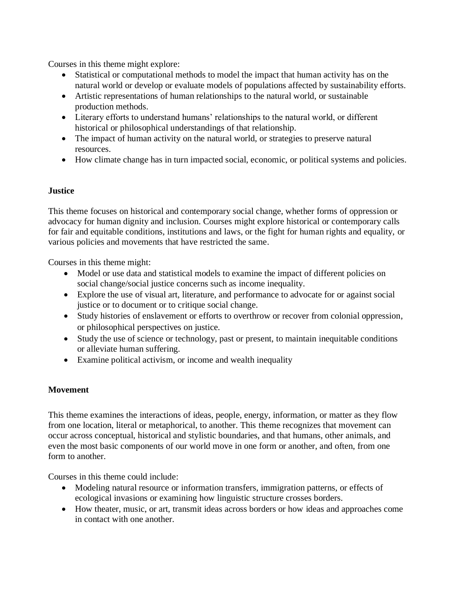Courses in this theme might explore:

- Statistical or computational methods to model the impact that human activity has on the natural world or develop or evaluate models of populations affected by sustainability efforts.
- Artistic representations of human relationships to the natural world, or sustainable production methods.
- Literary efforts to understand humans' relationships to the natural world, or different historical or philosophical understandings of that relationship.
- The impact of human activity on the natural world, or strategies to preserve natural resources.
- How climate change has in turn impacted social, economic, or political systems and policies.

## **Justice**

This theme focuses on historical and contemporary social change, whether forms of oppression or advocacy for human dignity and inclusion. Courses might explore historical or contemporary calls for fair and equitable conditions, institutions and laws, or the fight for human rights and equality, or various policies and movements that have restricted the same.

Courses in this theme might:

- Model or use data and statistical models to examine the impact of different policies on social change/social justice concerns such as income inequality.
- Explore the use of visual art, literature, and performance to advocate for or against social justice or to document or to critique social change.
- Study histories of enslavement or efforts to overthrow or recover from colonial oppression, or philosophical perspectives on justice.
- Study the use of science or technology, past or present, to maintain inequitable conditions or alleviate human suffering.
- Examine political activism, or income and wealth inequality

## **Movement**

This theme examines the interactions of ideas, people, energy, information, or matter as they flow from one location, literal or metaphorical, to another. This theme recognizes that movement can occur across conceptual, historical and stylistic boundaries, and that humans, other animals, and even the most basic components of our world move in one form or another, and often, from one form to another.

Courses in this theme could include:

- Modeling natural resource or information transfers, immigration patterns, or effects of ecological invasions or examining how linguistic structure crosses borders.
- How theater, music, or art, transmit ideas across borders or how ideas and approaches come in contact with one another.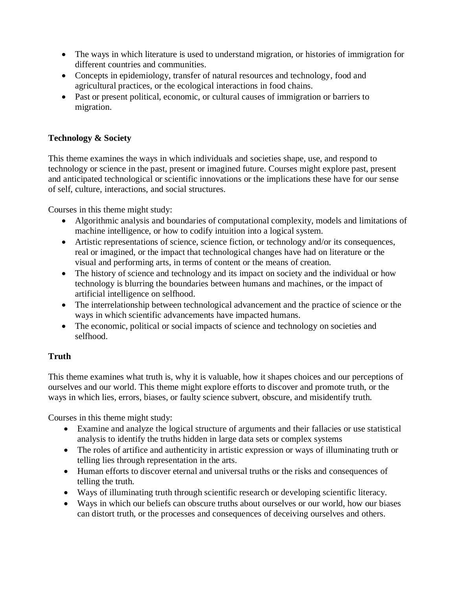- The ways in which literature is used to understand migration, or histories of immigration for different countries and communities.
- Concepts in epidemiology, transfer of natural resources and technology, food and agricultural practices, or the ecological interactions in food chains.
- Past or present political, economic, or cultural causes of immigration or barriers to migration.

# **Technology & Society**

This theme examines the ways in which individuals and societies shape, use, and respond to technology or science in the past, present or imagined future. Courses might explore past, present and anticipated technological or scientific innovations or the implications these have for our sense of self, culture, interactions, and social structures.

Courses in this theme might study:

- Algorithmic analysis and boundaries of computational complexity, models and limitations of machine intelligence, or how to codify intuition into a logical system.
- Artistic representations of science, science fiction, or technology and/or its consequences, real or imagined, or the impact that technological changes have had on literature or the visual and performing arts, in terms of content or the means of creation.
- The history of science and technology and its impact on society and the individual or how technology is blurring the boundaries between humans and machines, or the impact of artificial intelligence on selfhood.
- The interrelationship between technological advancement and the practice of science or the ways in which scientific advancements have impacted humans.
- The economic, political or social impacts of science and technology on societies and selfhood.

## **Truth**

This theme examines what truth is, why it is valuable, how it shapes choices and our perceptions of ourselves and our world. This theme might explore efforts to discover and promote truth, or the ways in which lies, errors, biases, or faulty science subvert, obscure, and misidentify truth.

Courses in this theme might study:

- Examine and analyze the logical structure of arguments and their fallacies or use statistical analysis to identify the truths hidden in large data sets or complex systems
- The roles of artifice and authenticity in artistic expression or ways of illuminating truth or telling lies through representation in the arts.
- Human efforts to discover eternal and universal truths or the risks and consequences of telling the truth.
- Ways of illuminating truth through scientific research or developing scientific literacy.
- Ways in which our beliefs can obscure truths about ourselves or our world, how our biases can distort truth, or the processes and consequences of deceiving ourselves and others.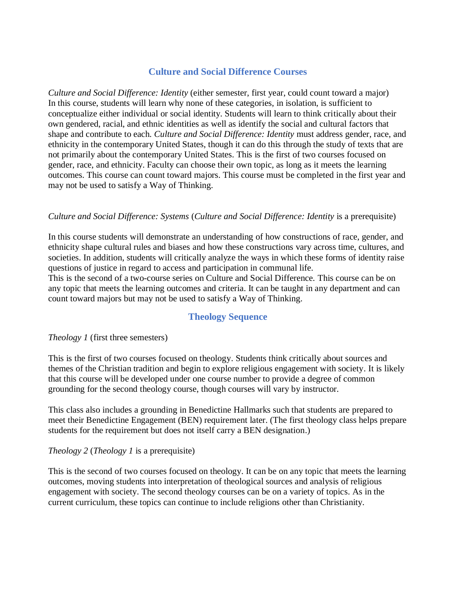# **Culture and Social Difference Courses**

*Culture and Social Difference: Identity* (either semester, first year, could count toward a major) In this course, students will learn why none of these categories, in isolation, is sufficient to conceptualize either individual or social identity. Students will learn to think critically about their own gendered, racial, and ethnic identities as well as identify the social and cultural factors that shape and contribute to each. *Culture and Social Difference: Identity* must address gender, race, and ethnicity in the contemporary United States, though it can do this through the study of texts that are not primarily about the contemporary United States. This is the first of two courses focused on gender, race, and ethnicity. Faculty can choose their own topic, as long as it meets the learning outcomes. This course can count toward majors. This course must be completed in the first year and may not be used to satisfy a Way of Thinking.

#### *Culture and Social Difference: Systems* (*Culture and Social Difference: Identity* is a prerequisite)

In this course students will demonstrate an understanding of how constructions of race, gender, and ethnicity shape cultural rules and biases and how these constructions vary across time, cultures, and societies. In addition, students will critically analyze the ways in which these forms of identity raise questions of justice in regard to access and participation in communal life.

This is the second of a two-course series on Culture and Social Difference. This course can be on any topic that meets the learning outcomes and criteria. It can be taught in any department and can count toward majors but may not be used to satisfy a Way of Thinking.

## **Theology Sequence**

#### *Theology 1* (first three semesters)

This is the first of two courses focused on theology. Students think critically about sources and themes of the Christian tradition and begin to explore religious engagement with society. It is likely that this course will be developed under one course number to provide a degree of common grounding for the second theology course, though courses will vary by instructor.

This class also includes a grounding in Benedictine Hallmarks such that students are prepared to meet their Benedictine Engagement (BEN) requirement later. (The first theology class helps prepare students for the requirement but does not itself carry a BEN designation.)

#### *Theology 2* (*Theology 1* is a prerequisite)

This is the second of two courses focused on theology. It can be on any topic that meets the learning outcomes, moving students into interpretation of theological sources and analysis of religious engagement with society. The second theology courses can be on a variety of topics. As in the current curriculum, these topics can continue to include religions other than Christianity.